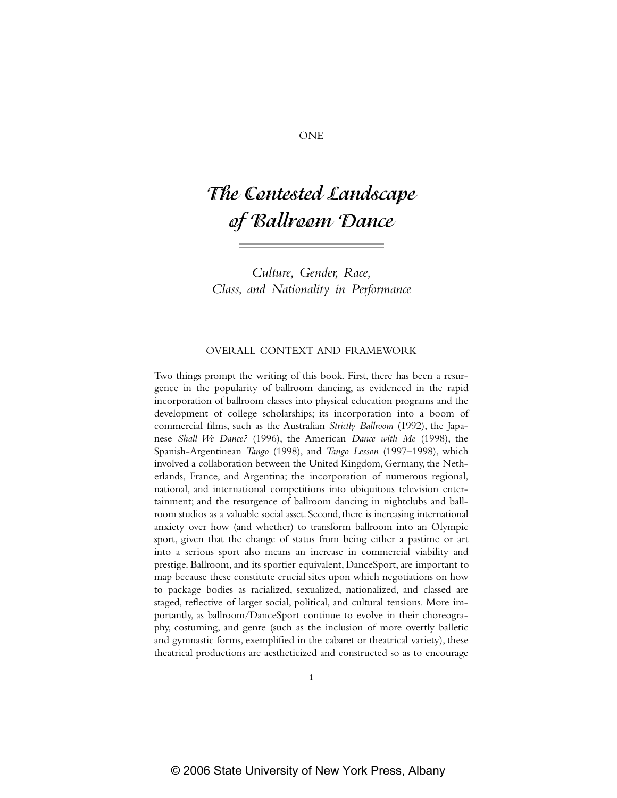## ONE

# *The Contested Landscape of Ballroom Dance*

*Culture, Gender, Race, Class, and Nationality in Performance*

# OVERALL CONTEXT AND FRAMEWORK

Two things prompt the writing of this book. First, there has been a resurgence in the popularity of ballroom dancing, as evidenced in the rapid incorporation of ballroom classes into physical education programs and the development of college scholarships; its incorporation into a boom of commercial films, such as the Australian *Strictly Ballroom* (1992), the Japanese *Shall We Dance?* (1996), the American *Dance with Me* (1998), the Spanish-Argentinean *Tango* (1998), and *Tango Lesson* (1997–1998), which involved a collaboration between the United Kingdom, Germany, the Netherlands, France, and Argentina; the incorporation of numerous regional, national, and international competitions into ubiquitous television entertainment; and the resurgence of ballroom dancing in nightclubs and ballroom studios as a valuable social asset. Second, there is increasing international anxiety over how (and whether) to transform ballroom into an Olympic sport, given that the change of status from being either a pastime or art into a serious sport also means an increase in commercial viability and prestige. Ballroom, and its sportier equivalent, DanceSport, are important to map because these constitute crucial sites upon which negotiations on how to package bodies as racialized, sexualized, nationalized, and classed are staged, reflective of larger social, political, and cultural tensions. More importantly, as ballroom/DanceSport continue to evolve in their choreography, costuming, and genre (such as the inclusion of more overtly balletic and gymnastic forms, exemplified in the cabaret or theatrical variety), these theatrical productions are aestheticized and constructed so as to encourage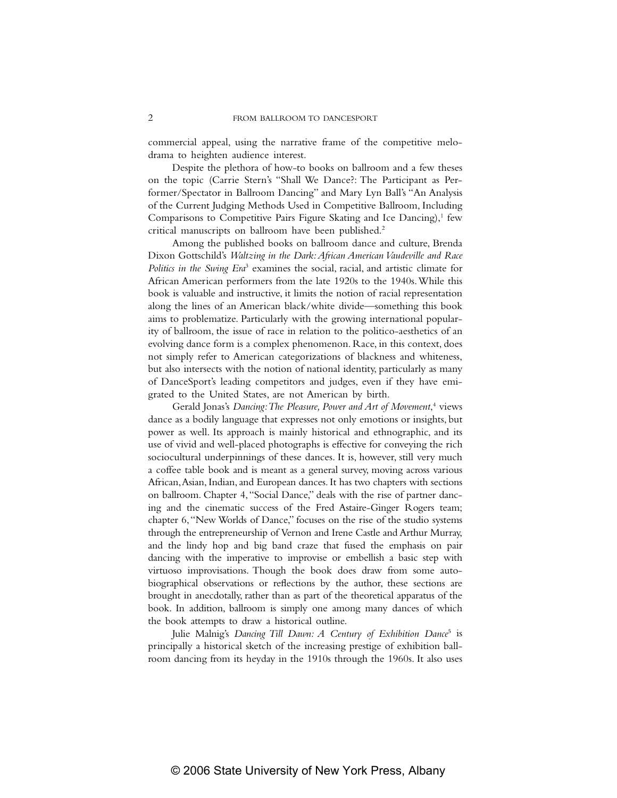commercial appeal, using the narrative frame of the competitive melodrama to heighten audience interest.

Despite the plethora of how-to books on ballroom and a few theses on the topic (Carrie Stern's "Shall We Dance?: The Participant as Performer/Spectator in Ballroom Dancing" and Mary Lyn Ball's "An Analysis of the Current Judging Methods Used in Competitive Ballroom, Including Comparisons to Competitive Pairs Figure Skating and Ice Dancing),<sup>1</sup> few critical manuscripts on ballroom have been published.<sup>2</sup>

Among the published books on ballroom dance and culture, Brenda Dixon Gottschild's *Waltzing in the Dark: African American Vaudeville and Race* Politics in the Swing Era<sup>3</sup> examines the social, racial, and artistic climate for African American performers from the late 1920s to the 1940s. While this book is valuable and instructive, it limits the notion of racial representation along the lines of an American black/white divide—something this book aims to problematize. Particularly with the growing international popularity of ballroom, the issue of race in relation to the politico-aesthetics of an evolving dance form is a complex phenomenon. Race, in this context, does not simply refer to American categorizations of blackness and whiteness, but also intersects with the notion of national identity, particularly as many of DanceSport's leading competitors and judges, even if they have emigrated to the United States, are not American by birth.

Gerald Jonas's Dancing: The Pleasure, Power and Art of Movement,<sup>4</sup> views dance as a bodily language that expresses not only emotions or insights, but power as well. Its approach is mainly historical and ethnographic, and its use of vivid and well-placed photographs is effective for conveying the rich sociocultural underpinnings of these dances. It is, however, still very much a coffee table book and is meant as a general survey, moving across various African, Asian, Indian, and European dances. It has two chapters with sections on ballroom. Chapter 4, "Social Dance," deals with the rise of partner dancing and the cinematic success of the Fred Astaire-Ginger Rogers team; chapter 6, "New Worlds of Dance," focuses on the rise of the studio systems through the entrepreneurship of Vernon and Irene Castle and Arthur Murray, and the lindy hop and big band craze that fused the emphasis on pair dancing with the imperative to improvise or embellish a basic step with virtuoso improvisations. Though the book does draw from some autobiographical observations or reflections by the author, these sections are brought in anecdotally, rather than as part of the theoretical apparatus of the book. In addition, ballroom is simply one among many dances of which the book attempts to draw a historical outline.

Julie Malnig's *Dancing Till Dawn: A Century of Exhibition Dance<sup>5</sup>* is principally a historical sketch of the increasing prestige of exhibition ballroom dancing from its heyday in the 1910s through the 1960s. It also uses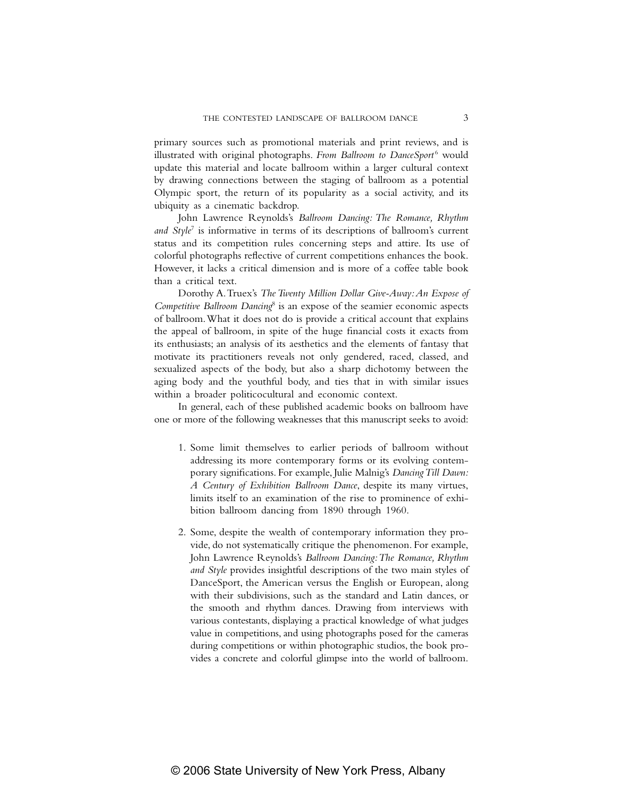primary sources such as promotional materials and print reviews, and is illustrated with original photographs. From Ballroom to DanceSport<sup>6</sup> would update this material and locate ballroom within a larger cultural context by drawing connections between the staging of ballroom as a potential Olympic sport, the return of its popularity as a social activity, and its ubiquity as a cinematic backdrop.

John Lawrence Reynolds's *Ballroom Dancing: The Romance, Rhythm and Style*<sup>7</sup> is informative in terms of its descriptions of ballroom's current status and its competition rules concerning steps and attire. Its use of colorful photographs reflective of current competitions enhances the book. However, it lacks a critical dimension and is more of a coffee table book than a critical text.

Dorothy A. Truex's *The Twenty Million Dollar Give-Away: An Expose of Competitive Ballroom Dancing*<sup>8</sup> is an expose of the seamier economic aspects of ballroom. What it does not do is provide a critical account that explains the appeal of ballroom, in spite of the huge financial costs it exacts from its enthusiasts; an analysis of its aesthetics and the elements of fantasy that motivate its practitioners reveals not only gendered, raced, classed, and sexualized aspects of the body, but also a sharp dichotomy between the aging body and the youthful body, and ties that in with similar issues within a broader politicocultural and economic context.

In general, each of these published academic books on ballroom have one or more of the following weaknesses that this manuscript seeks to avoid:

- 1. Some limit themselves to earlier periods of ballroom without addressing its more contemporary forms or its evolving contemporary significations. For example, Julie Malnig's *Dancing Till Dawn: A Century of Exhibition Ballroom Dance*, despite its many virtues, limits itself to an examination of the rise to prominence of exhibition ballroom dancing from 1890 through 1960.
- 2. Some, despite the wealth of contemporary information they provide, do not systematically critique the phenomenon. For example, John Lawrence Reynolds's *Ballroom Dancing: The Romance, Rhythm and Style* provides insightful descriptions of the two main styles of DanceSport, the American versus the English or European, along with their subdivisions, such as the standard and Latin dances, or the smooth and rhythm dances. Drawing from interviews with various contestants, displaying a practical knowledge of what judges value in competitions, and using photographs posed for the cameras during competitions or within photographic studios, the book provides a concrete and colorful glimpse into the world of ballroom.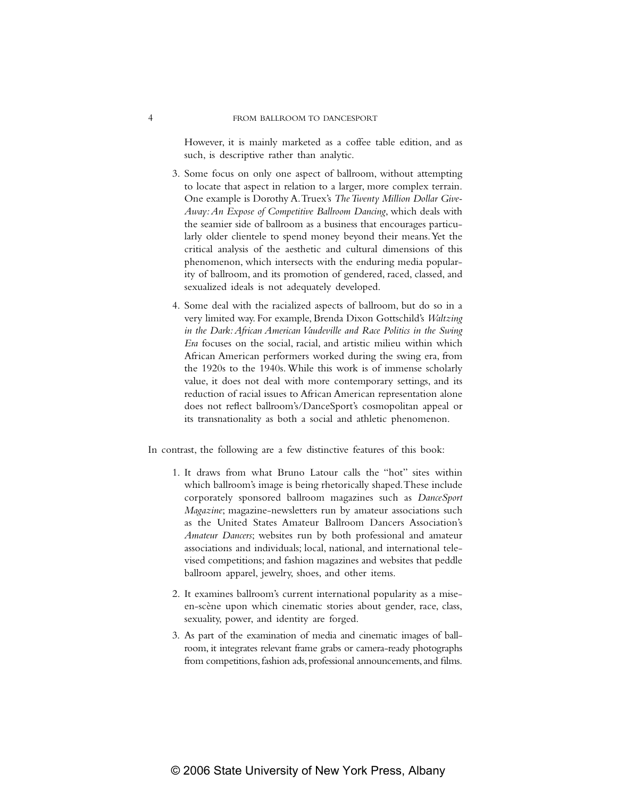However, it is mainly marketed as a coffee table edition, and as such, is descriptive rather than analytic.

- 3. Some focus on only one aspect of ballroom, without attempting to locate that aspect in relation to a larger, more complex terrain. One example is Dorothy A. Truex's *The Twenty Million Dollar Give-Away: An Expose of Competitive Ballroom Dancing*, which deals with the seamier side of ballroom as a business that encourages particularly older clientele to spend money beyond their means. Yet the critical analysis of the aesthetic and cultural dimensions of this phenomenon, which intersects with the enduring media popularity of ballroom, and its promotion of gendered, raced, classed, and sexualized ideals is not adequately developed.
- 4. Some deal with the racialized aspects of ballroom, but do so in a very limited way. For example, Brenda Dixon Gottschild's *Waltzing in the Dark: African American Vaudeville and Race Politics in the Swing Era* focuses on the social, racial, and artistic milieu within which African American performers worked during the swing era, from the 1920s to the 1940s. While this work is of immense scholarly value, it does not deal with more contemporary settings, and its reduction of racial issues to African American representation alone does not reflect ballroom's/DanceSport's cosmopolitan appeal or its transnationality as both a social and athletic phenomenon.

In contrast, the following are a few distinctive features of this book:

- 1. It draws from what Bruno Latour calls the "hot" sites within which ballroom's image is being rhetorically shaped. These include corporately sponsored ballroom magazines such as *DanceSport Magazine*; magazine-newsletters run by amateur associations such as the United States Amateur Ballroom Dancers Association's *Amateur Dancers*; websites run by both professional and amateur associations and individuals; local, national, and international televised competitions; and fashion magazines and websites that peddle ballroom apparel, jewelry, shoes, and other items.
- 2. It examines ballroom's current international popularity as a miseen-scène upon which cinematic stories about gender, race, class, sexuality, power, and identity are forged.
- 3. As part of the examination of media and cinematic images of ballroom, it integrates relevant frame grabs or camera-ready photographs from competitions, fashion ads, professional announcements, and films.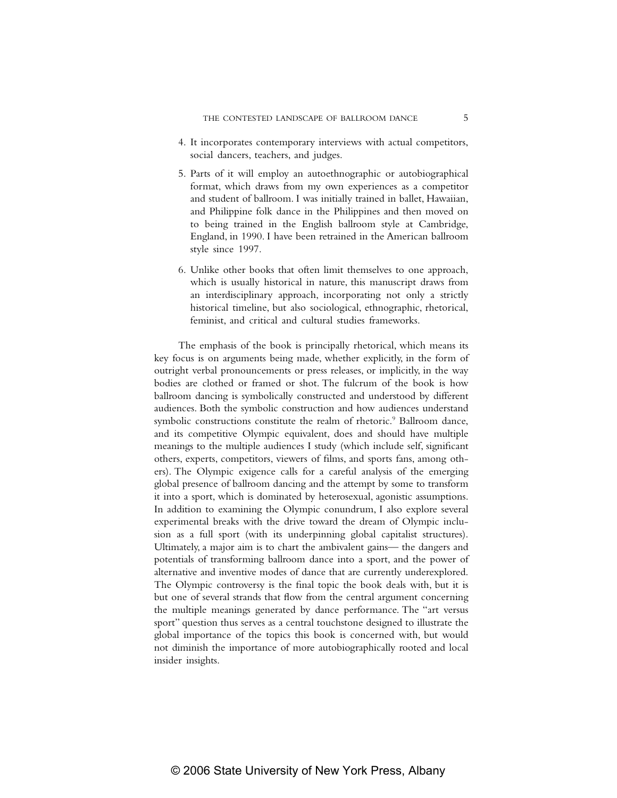- 4. It incorporates contemporary interviews with actual competitors, social dancers, teachers, and judges.
- 5. Parts of it will employ an autoethnographic or autobiographical format, which draws from my own experiences as a competitor and student of ballroom. I was initially trained in ballet, Hawaiian, and Philippine folk dance in the Philippines and then moved on to being trained in the English ballroom style at Cambridge, England, in 1990. I have been retrained in the American ballroom style since 1997.
- 6. Unlike other books that often limit themselves to one approach, which is usually historical in nature, this manuscript draws from an interdisciplinary approach, incorporating not only a strictly historical timeline, but also sociological, ethnographic, rhetorical, feminist, and critical and cultural studies frameworks.

The emphasis of the book is principally rhetorical, which means its key focus is on arguments being made, whether explicitly, in the form of outright verbal pronouncements or press releases, or implicitly, in the way bodies are clothed or framed or shot. The fulcrum of the book is how ballroom dancing is symbolically constructed and understood by different audiences. Both the symbolic construction and how audiences understand symbolic constructions constitute the realm of rhetoric.<sup>9</sup> Ballroom dance, and its competitive Olympic equivalent, does and should have multiple meanings to the multiple audiences I study (which include self, significant others, experts, competitors, viewers of films, and sports fans, among others). The Olympic exigence calls for a careful analysis of the emerging global presence of ballroom dancing and the attempt by some to transform it into a sport, which is dominated by heterosexual, agonistic assumptions. In addition to examining the Olympic conundrum, I also explore several experimental breaks with the drive toward the dream of Olympic inclusion as a full sport (with its underpinning global capitalist structures). Ultimately, a major aim is to chart the ambivalent gains— the dangers and potentials of transforming ballroom dance into a sport, and the power of alternative and inventive modes of dance that are currently underexplored. The Olympic controversy is the final topic the book deals with, but it is but one of several strands that flow from the central argument concerning the multiple meanings generated by dance performance. The "art versus sport" question thus serves as a central touchstone designed to illustrate the global importance of the topics this book is concerned with, but would not diminish the importance of more autobiographically rooted and local insider insights.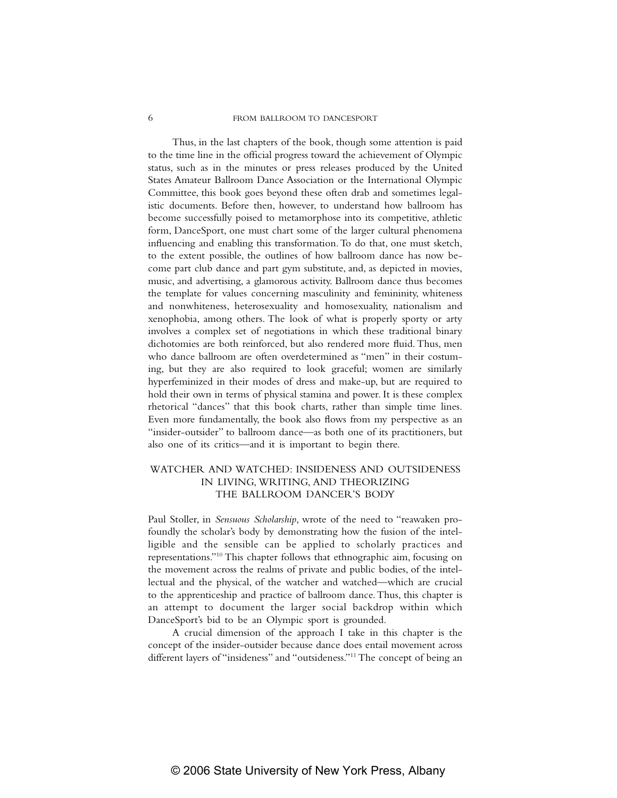#### 6 FROM BALLROOM TO DANCESPORT

Thus, in the last chapters of the book, though some attention is paid to the time line in the official progress toward the achievement of Olympic status, such as in the minutes or press releases produced by the United States Amateur Ballroom Dance Association or the International Olympic Committee, this book goes beyond these often drab and sometimes legalistic documents. Before then, however, to understand how ballroom has become successfully poised to metamorphose into its competitive, athletic form, DanceSport, one must chart some of the larger cultural phenomena influencing and enabling this transformation. To do that, one must sketch, to the extent possible, the outlines of how ballroom dance has now become part club dance and part gym substitute, and, as depicted in movies, music, and advertising, a glamorous activity. Ballroom dance thus becomes the template for values concerning masculinity and femininity, whiteness and nonwhiteness, heterosexuality and homosexuality, nationalism and xenophobia, among others. The look of what is properly sporty or arty involves a complex set of negotiations in which these traditional binary dichotomies are both reinforced, but also rendered more fluid. Thus, men who dance ballroom are often overdetermined as "men" in their costuming, but they are also required to look graceful; women are similarly hyperfeminized in their modes of dress and make-up, but are required to hold their own in terms of physical stamina and power. It is these complex rhetorical "dances" that this book charts, rather than simple time lines. Even more fundamentally, the book also flows from my perspective as an "insider-outsider" to ballroom dance—as both one of its practitioners, but also one of its critics—and it is important to begin there.

# WATCHER AND WATCHED: INSIDENESS AND OUTSIDENESS IN LIVING, WRITING, AND THEORIZING THE BALLROOM DANCER'S BODY

Paul Stoller, in *Sensuous Scholarship*, wrote of the need to "reawaken profoundly the scholar's body by demonstrating how the fusion of the intelligible and the sensible can be applied to scholarly practices and representations."10 This chapter follows that ethnographic aim, focusing on the movement across the realms of private and public bodies, of the intellectual and the physical, of the watcher and watched—which are crucial to the apprenticeship and practice of ballroom dance. Thus, this chapter is an attempt to document the larger social backdrop within which DanceSport's bid to be an Olympic sport is grounded.

A crucial dimension of the approach I take in this chapter is the concept of the insider-outsider because dance does entail movement across different layers of "insideness" and "outsideness."11 The concept of being an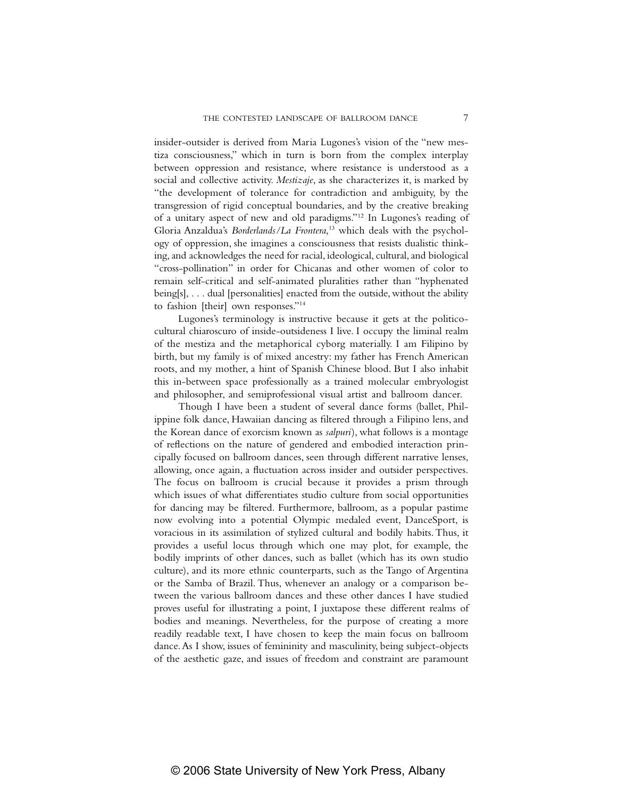insider-outsider is derived from Maria Lugones's vision of the "new mestiza consciousness," which in turn is born from the complex interplay between oppression and resistance, where resistance is understood as a social and collective activity. *Mestizaje*, as she characterizes it, is marked by "the development of tolerance for contradiction and ambiguity, by the transgression of rigid conceptual boundaries, and by the creative breaking of a unitary aspect of new and old paradigms."12 In Lugones's reading of Gloria Anzaldua's *Borderlands/La Frontera*, 13 which deals with the psychology of oppression, she imagines a consciousness that resists dualistic thinking, and acknowledges the need for racial, ideological, cultural, and biological "cross-pollination" in order for Chicanas and other women of color to remain self-critical and self-animated pluralities rather than "hyphenated being[s], . . . dual [personalities] enacted from the outside, without the ability to fashion [their] own responses."14

Lugones's terminology is instructive because it gets at the politicocultural chiaroscuro of inside-outsideness I live. I occupy the liminal realm of the mestiza and the metaphorical cyborg materially. I am Filipino by birth, but my family is of mixed ancestry: my father has French American roots, and my mother, a hint of Spanish Chinese blood. But I also inhabit this in-between space professionally as a trained molecular embryologist and philosopher, and semiprofessional visual artist and ballroom dancer.

Though I have been a student of several dance forms (ballet, Philippine folk dance, Hawaiian dancing as filtered through a Filipino lens, and the Korean dance of exorcism known as *salpuri*), what follows is a montage of reflections on the nature of gendered and embodied interaction principally focused on ballroom dances, seen through different narrative lenses, allowing, once again, a fluctuation across insider and outsider perspectives. The focus on ballroom is crucial because it provides a prism through which issues of what differentiates studio culture from social opportunities for dancing may be filtered. Furthermore, ballroom, as a popular pastime now evolving into a potential Olympic medaled event, DanceSport, is voracious in its assimilation of stylized cultural and bodily habits. Thus, it provides a useful locus through which one may plot, for example, the bodily imprints of other dances, such as ballet (which has its own studio culture), and its more ethnic counterparts, such as the Tango of Argentina or the Samba of Brazil. Thus, whenever an analogy or a comparison between the various ballroom dances and these other dances I have studied proves useful for illustrating a point, I juxtapose these different realms of bodies and meanings. Nevertheless, for the purpose of creating a more readily readable text, I have chosen to keep the main focus on ballroom dance. As I show, issues of femininity and masculinity, being subject-objects of the aesthetic gaze, and issues of freedom and constraint are paramount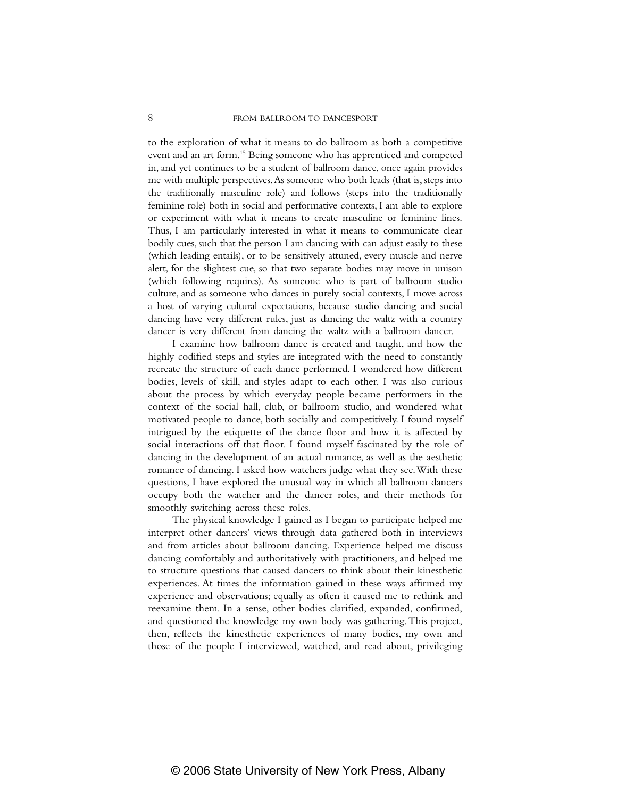to the exploration of what it means to do ballroom as both a competitive event and an art form.15 Being someone who has apprenticed and competed in, and yet continues to be a student of ballroom dance, once again provides me with multiple perspectives. As someone who both leads (that is, steps into the traditionally masculine role) and follows (steps into the traditionally feminine role) both in social and performative contexts, I am able to explore or experiment with what it means to create masculine or feminine lines. Thus, I am particularly interested in what it means to communicate clear bodily cues, such that the person I am dancing with can adjust easily to these (which leading entails), or to be sensitively attuned, every muscle and nerve alert, for the slightest cue, so that two separate bodies may move in unison (which following requires). As someone who is part of ballroom studio culture, and as someone who dances in purely social contexts, I move across a host of varying cultural expectations, because studio dancing and social dancing have very different rules, just as dancing the waltz with a country dancer is very different from dancing the waltz with a ballroom dancer.

I examine how ballroom dance is created and taught, and how the highly codified steps and styles are integrated with the need to constantly recreate the structure of each dance performed. I wondered how different bodies, levels of skill, and styles adapt to each other. I was also curious about the process by which everyday people became performers in the context of the social hall, club, or ballroom studio, and wondered what motivated people to dance, both socially and competitively. I found myself intrigued by the etiquette of the dance floor and how it is affected by social interactions off that floor. I found myself fascinated by the role of dancing in the development of an actual romance, as well as the aesthetic romance of dancing. I asked how watchers judge what they see. With these questions, I have explored the unusual way in which all ballroom dancers occupy both the watcher and the dancer roles, and their methods for smoothly switching across these roles.

The physical knowledge I gained as I began to participate helped me interpret other dancers' views through data gathered both in interviews and from articles about ballroom dancing. Experience helped me discuss dancing comfortably and authoritatively with practitioners, and helped me to structure questions that caused dancers to think about their kinesthetic experiences. At times the information gained in these ways affirmed my experience and observations; equally as often it caused me to rethink and reexamine them. In a sense, other bodies clarified, expanded, confirmed, and questioned the knowledge my own body was gathering. This project, then, reflects the kinesthetic experiences of many bodies, my own and those of the people I interviewed, watched, and read about, privileging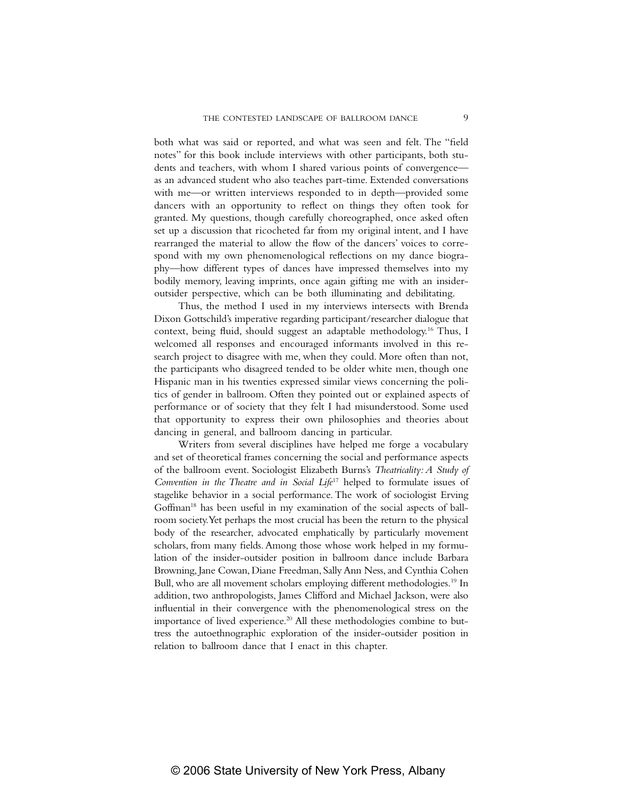both what was said or reported, and what was seen and felt. The "field notes" for this book include interviews with other participants, both students and teachers, with whom I shared various points of convergence as an advanced student who also teaches part-time. Extended conversations with me—or written interviews responded to in depth—provided some dancers with an opportunity to reflect on things they often took for granted. My questions, though carefully choreographed, once asked often set up a discussion that ricocheted far from my original intent, and I have rearranged the material to allow the flow of the dancers' voices to correspond with my own phenomenological reflections on my dance biography—how different types of dances have impressed themselves into my bodily memory, leaving imprints, once again gifting me with an insideroutsider perspective, which can be both illuminating and debilitating.

Thus, the method I used in my interviews intersects with Brenda Dixon Gottschild's imperative regarding participant/researcher dialogue that context, being fluid, should suggest an adaptable methodology.16 Thus, I welcomed all responses and encouraged informants involved in this research project to disagree with me, when they could. More often than not, the participants who disagreed tended to be older white men, though one Hispanic man in his twenties expressed similar views concerning the politics of gender in ballroom. Often they pointed out or explained aspects of performance or of society that they felt I had misunderstood. Some used that opportunity to express their own philosophies and theories about dancing in general, and ballroom dancing in particular.

Writers from several disciplines have helped me forge a vocabulary and set of theoretical frames concerning the social and performance aspects of the ballroom event. Sociologist Elizabeth Burns's *Theatricality: A Study of Convention in the Theatre and in Social Life*17 helped to formulate issues of stagelike behavior in a social performance. The work of sociologist Erving Goffman<sup>18</sup> has been useful in my examination of the social aspects of ballroom society. Yet perhaps the most crucial has been the return to the physical body of the researcher, advocated emphatically by particularly movement scholars, from many fields. Among those whose work helped in my formulation of the insider-outsider position in ballroom dance include Barbara Browning, Jane Cowan, Diane Freedman, Sally Ann Ness, and Cynthia Cohen Bull, who are all movement scholars employing different methodologies.<sup>19</sup> In addition, two anthropologists, James Clifford and Michael Jackson, were also influential in their convergence with the phenomenological stress on the importance of lived experience.<sup>20</sup> All these methodologies combine to buttress the autoethnographic exploration of the insider-outsider position in relation to ballroom dance that I enact in this chapter.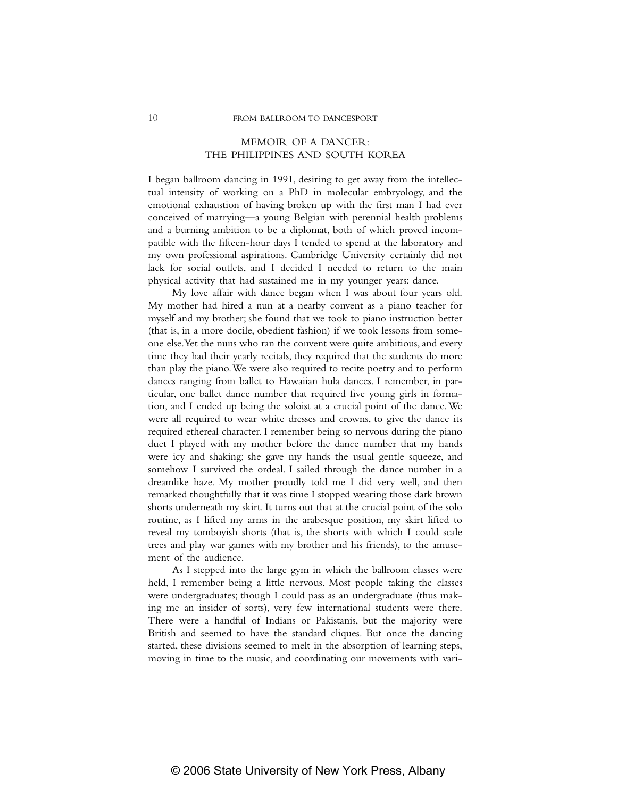# MEMOIR OF A DANCER: THE PHILIPPINES AND SOUTH KOREA

I began ballroom dancing in 1991, desiring to get away from the intellectual intensity of working on a PhD in molecular embryology, and the emotional exhaustion of having broken up with the first man I had ever conceived of marrying—a young Belgian with perennial health problems and a burning ambition to be a diplomat, both of which proved incompatible with the fifteen-hour days I tended to spend at the laboratory and my own professional aspirations. Cambridge University certainly did not lack for social outlets, and I decided I needed to return to the main physical activity that had sustained me in my younger years: dance.

My love affair with dance began when I was about four years old. My mother had hired a nun at a nearby convent as a piano teacher for myself and my brother; she found that we took to piano instruction better (that is, in a more docile, obedient fashion) if we took lessons from someone else. Yet the nuns who ran the convent were quite ambitious, and every time they had their yearly recitals, they required that the students do more than play the piano. We were also required to recite poetry and to perform dances ranging from ballet to Hawaiian hula dances. I remember, in particular, one ballet dance number that required five young girls in formation, and I ended up being the soloist at a crucial point of the dance. We were all required to wear white dresses and crowns, to give the dance its required ethereal character. I remember being so nervous during the piano duet I played with my mother before the dance number that my hands were icy and shaking; she gave my hands the usual gentle squeeze, and somehow I survived the ordeal. I sailed through the dance number in a dreamlike haze. My mother proudly told me I did very well, and then remarked thoughtfully that it was time I stopped wearing those dark brown shorts underneath my skirt. It turns out that at the crucial point of the solo routine, as I lifted my arms in the arabesque position, my skirt lifted to reveal my tomboyish shorts (that is, the shorts with which I could scale trees and play war games with my brother and his friends), to the amusement of the audience.

As I stepped into the large gym in which the ballroom classes were held, I remember being a little nervous. Most people taking the classes were undergraduates; though I could pass as an undergraduate (thus making me an insider of sorts), very few international students were there. There were a handful of Indians or Pakistanis, but the majority were British and seemed to have the standard cliques. But once the dancing started, these divisions seemed to melt in the absorption of learning steps, moving in time to the music, and coordinating our movements with vari-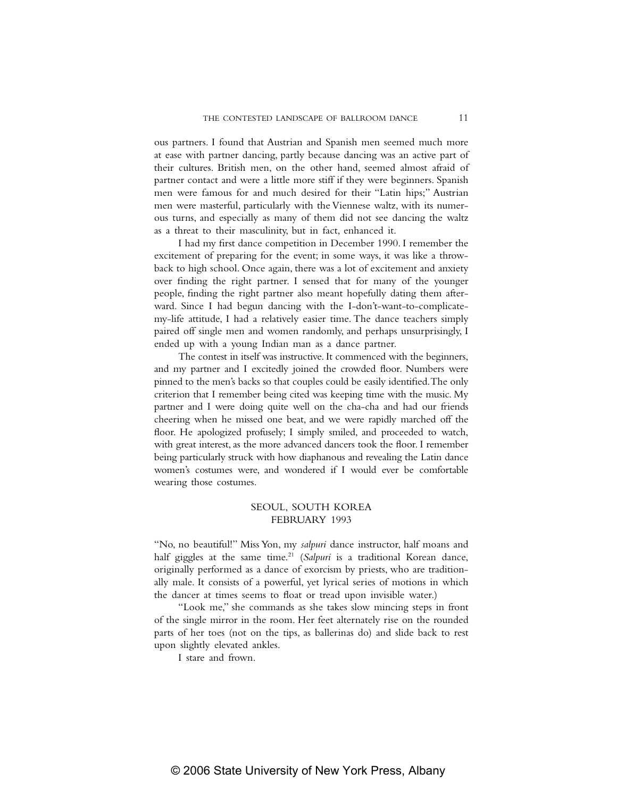ous partners. I found that Austrian and Spanish men seemed much more at ease with partner dancing, partly because dancing was an active part of their cultures. British men, on the other hand, seemed almost afraid of partner contact and were a little more stiff if they were beginners. Spanish men were famous for and much desired for their "Latin hips;" Austrian men were masterful, particularly with the Viennese waltz, with its numerous turns, and especially as many of them did not see dancing the waltz as a threat to their masculinity, but in fact, enhanced it.

I had my first dance competition in December 1990. I remember the excitement of preparing for the event; in some ways, it was like a throwback to high school. Once again, there was a lot of excitement and anxiety over finding the right partner. I sensed that for many of the younger people, finding the right partner also meant hopefully dating them afterward. Since I had begun dancing with the I-don't-want-to-complicatemy-life attitude, I had a relatively easier time. The dance teachers simply paired off single men and women randomly, and perhaps unsurprisingly, I ended up with a young Indian man as a dance partner.

The contest in itself was instructive. It commenced with the beginners, and my partner and I excitedly joined the crowded floor. Numbers were pinned to the men's backs so that couples could be easily identified. The only criterion that I remember being cited was keeping time with the music. My partner and I were doing quite well on the cha-cha and had our friends cheering when he missed one beat, and we were rapidly marched off the floor. He apologized profusely; I simply smiled, and proceeded to watch, with great interest, as the more advanced dancers took the floor. I remember being particularly struck with how diaphanous and revealing the Latin dance women's costumes were, and wondered if I would ever be comfortable wearing those costumes.

# SEOUL, SOUTH KOREA FEBRUARY 1993

"No, no beautiful!" Miss Yon, my *salpuri* dance instructor, half moans and half giggles at the same time.<sup>21</sup> (*Salpuri* is a traditional Korean dance, originally performed as a dance of exorcism by priests, who are traditionally male. It consists of a powerful, yet lyrical series of motions in which the dancer at times seems to float or tread upon invisible water.)

"Look me," she commands as she takes slow mincing steps in front of the single mirror in the room. Her feet alternately rise on the rounded parts of her toes (not on the tips, as ballerinas do) and slide back to rest upon slightly elevated ankles.

I stare and frown.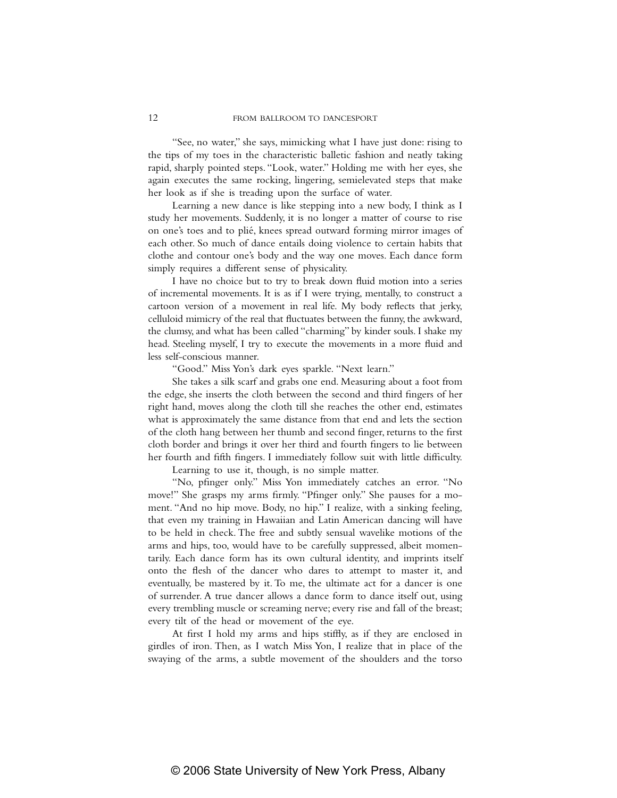"See, no water," she says, mimicking what I have just done: rising to the tips of my toes in the characteristic balletic fashion and neatly taking rapid, sharply pointed steps. "Look, water." Holding me with her eyes, she again executes the same rocking, lingering, semielevated steps that make her look as if she is treading upon the surface of water.

Learning a new dance is like stepping into a new body, I think as I study her movements. Suddenly, it is no longer a matter of course to rise on one's toes and to plié, knees spread outward forming mirror images of each other. So much of dance entails doing violence to certain habits that clothe and contour one's body and the way one moves. Each dance form simply requires a different sense of physicality.

I have no choice but to try to break down fluid motion into a series of incremental movements. It is as if I were trying, mentally, to construct a cartoon version of a movement in real life. My body reflects that jerky, celluloid mimicry of the real that fluctuates between the funny, the awkward, the clumsy, and what has been called "charming" by kinder souls. I shake my head. Steeling myself, I try to execute the movements in a more fluid and less self-conscious manner.

"Good." Miss Yon's dark eyes sparkle. "Next learn."

She takes a silk scarf and grabs one end. Measuring about a foot from the edge, she inserts the cloth between the second and third fingers of her right hand, moves along the cloth till she reaches the other end, estimates what is approximately the same distance from that end and lets the section of the cloth hang between her thumb and second finger, returns to the first cloth border and brings it over her third and fourth fingers to lie between her fourth and fifth fingers. I immediately follow suit with little difficulty.

Learning to use it, though, is no simple matter.

"No, pfinger only." Miss Yon immediately catches an error. "No move!" She grasps my arms firmly. "Pfinger only." She pauses for a moment. "And no hip move. Body, no hip." I realize, with a sinking feeling, that even my training in Hawaiian and Latin American dancing will have to be held in check. The free and subtly sensual wavelike motions of the arms and hips, too, would have to be carefully suppressed, albeit momentarily. Each dance form has its own cultural identity, and imprints itself onto the flesh of the dancer who dares to attempt to master it, and eventually, be mastered by it. To me, the ultimate act for a dancer is one of surrender. A true dancer allows a dance form to dance itself out, using every trembling muscle or screaming nerve; every rise and fall of the breast; every tilt of the head or movement of the eye.

At first I hold my arms and hips stiffly, as if they are enclosed in girdles of iron. Then, as I watch Miss Yon, I realize that in place of the swaying of the arms, a subtle movement of the shoulders and the torso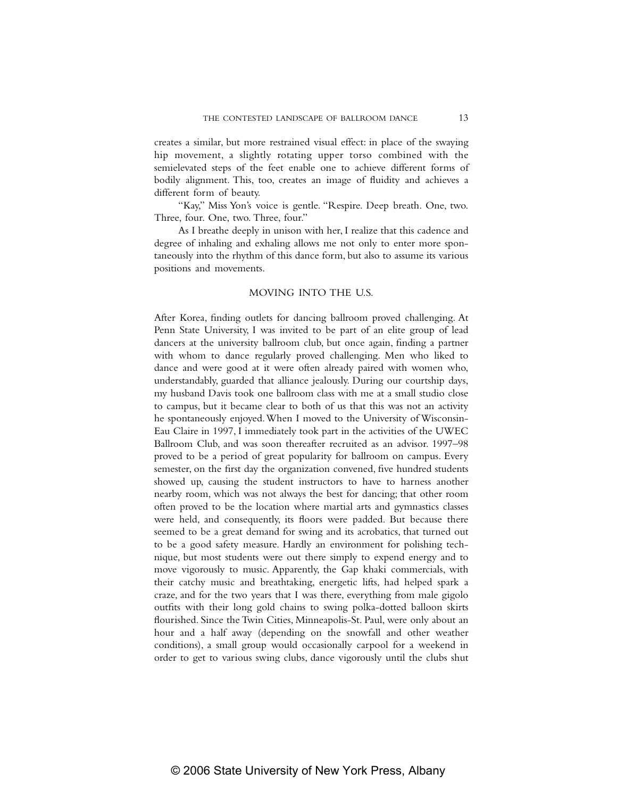creates a similar, but more restrained visual effect: in place of the swaying hip movement, a slightly rotating upper torso combined with the semielevated steps of the feet enable one to achieve different forms of bodily alignment. This, too, creates an image of fluidity and achieves a different form of beauty.

"Kay," Miss Yon's voice is gentle. "Respire. Deep breath. One, two. Three, four. One, two. Three, four."

As I breathe deeply in unison with her, I realize that this cadence and degree of inhaling and exhaling allows me not only to enter more spontaneously into the rhythm of this dance form, but also to assume its various positions and movements.

## MOVING INTO THE U.S.

After Korea, finding outlets for dancing ballroom proved challenging. At Penn State University, I was invited to be part of an elite group of lead dancers at the university ballroom club, but once again, finding a partner with whom to dance regularly proved challenging. Men who liked to dance and were good at it were often already paired with women who, understandably, guarded that alliance jealously. During our courtship days, my husband Davis took one ballroom class with me at a small studio close to campus, but it became clear to both of us that this was not an activity he spontaneously enjoyed. When I moved to the University of Wisconsin-Eau Claire in 1997, I immediately took part in the activities of the UWEC Ballroom Club, and was soon thereafter recruited as an advisor. 1997–98 proved to be a period of great popularity for ballroom on campus. Every semester, on the first day the organization convened, five hundred students showed up, causing the student instructors to have to harness another nearby room, which was not always the best for dancing; that other room often proved to be the location where martial arts and gymnastics classes were held, and consequently, its floors were padded. But because there seemed to be a great demand for swing and its acrobatics, that turned out to be a good safety measure. Hardly an environment for polishing technique, but most students were out there simply to expend energy and to move vigorously to music. Apparently, the Gap khaki commercials, with their catchy music and breathtaking, energetic lifts, had helped spark a craze, and for the two years that I was there, everything from male gigolo outfits with their long gold chains to swing polka-dotted balloon skirts flourished. Since the Twin Cities, Minneapolis-St. Paul, were only about an hour and a half away (depending on the snowfall and other weather conditions), a small group would occasionally carpool for a weekend in order to get to various swing clubs, dance vigorously until the clubs shut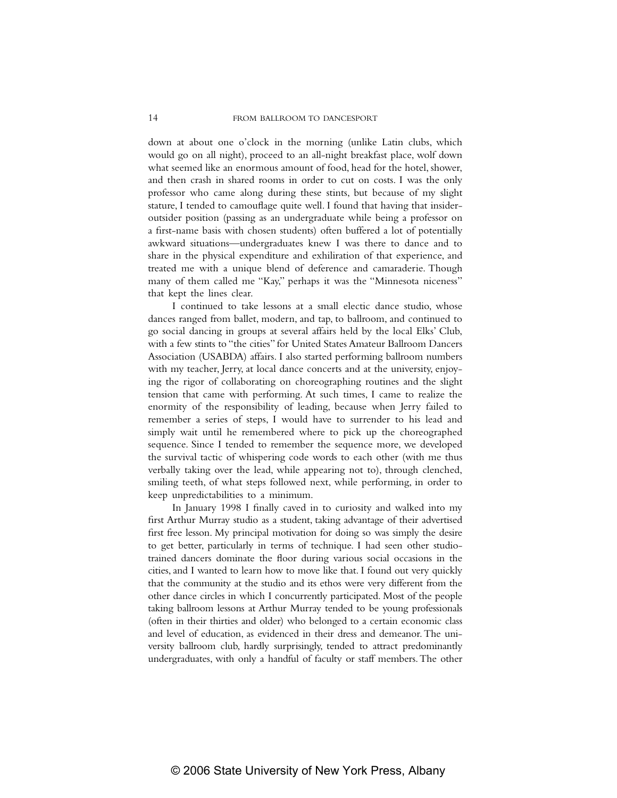down at about one o'clock in the morning (unlike Latin clubs, which would go on all night), proceed to an all-night breakfast place, wolf down what seemed like an enormous amount of food, head for the hotel, shower, and then crash in shared rooms in order to cut on costs. I was the only professor who came along during these stints, but because of my slight stature, I tended to camouflage quite well. I found that having that insideroutsider position (passing as an undergraduate while being a professor on a first-name basis with chosen students) often buffered a lot of potentially awkward situations—undergraduates knew I was there to dance and to share in the physical expenditure and exhiliration of that experience, and treated me with a unique blend of deference and camaraderie. Though many of them called me "Kay," perhaps it was the "Minnesota niceness" that kept the lines clear.

I continued to take lessons at a small electic dance studio, whose dances ranged from ballet, modern, and tap, to ballroom, and continued to go social dancing in groups at several affairs held by the local Elks' Club, with a few stints to "the cities" for United States Amateur Ballroom Dancers Association (USABDA) affairs. I also started performing ballroom numbers with my teacher, Jerry, at local dance concerts and at the university, enjoying the rigor of collaborating on choreographing routines and the slight tension that came with performing. At such times, I came to realize the enormity of the responsibility of leading, because when Jerry failed to remember a series of steps, I would have to surrender to his lead and simply wait until he remembered where to pick up the choreographed sequence. Since I tended to remember the sequence more, we developed the survival tactic of whispering code words to each other (with me thus verbally taking over the lead, while appearing not to), through clenched, smiling teeth, of what steps followed next, while performing, in order to keep unpredictabilities to a minimum.

In January 1998 I finally caved in to curiosity and walked into my first Arthur Murray studio as a student, taking advantage of their advertised first free lesson. My principal motivation for doing so was simply the desire to get better, particularly in terms of technique. I had seen other studiotrained dancers dominate the floor during various social occasions in the cities, and I wanted to learn how to move like that. I found out very quickly that the community at the studio and its ethos were very different from the other dance circles in which I concurrently participated. Most of the people taking ballroom lessons at Arthur Murray tended to be young professionals (often in their thirties and older) who belonged to a certain economic class and level of education, as evidenced in their dress and demeanor. The university ballroom club, hardly surprisingly, tended to attract predominantly undergraduates, with only a handful of faculty or staff members. The other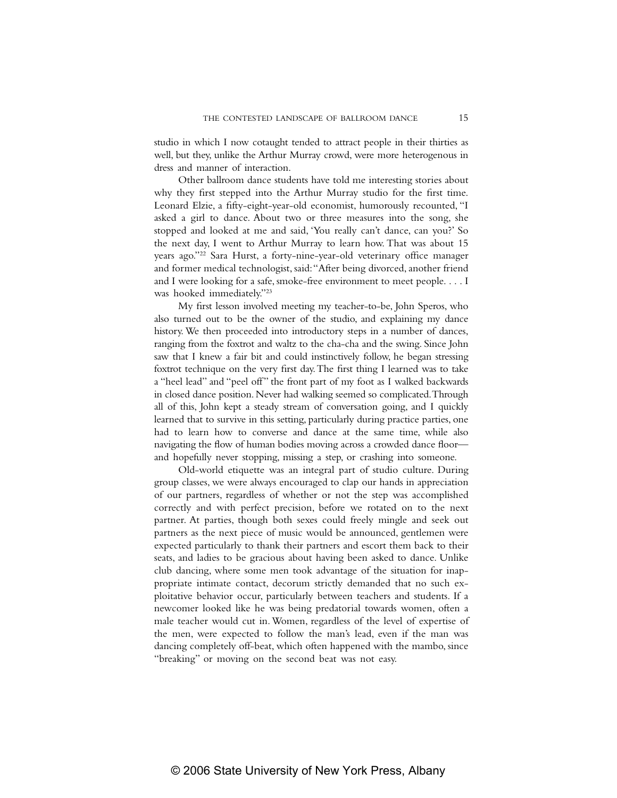studio in which I now cotaught tended to attract people in their thirties as well, but they, unlike the Arthur Murray crowd, were more heterogenous in dress and manner of interaction.

Other ballroom dance students have told me interesting stories about why they first stepped into the Arthur Murray studio for the first time. Leonard Elzie, a fifty-eight-year-old economist, humorously recounted, "I asked a girl to dance. About two or three measures into the song, she stopped and looked at me and said, 'You really can't dance, can you?' So the next day, I went to Arthur Murray to learn how. That was about 15 years ago."22 Sara Hurst, a forty-nine-year-old veterinary office manager and former medical technologist, said: "After being divorced, another friend and I were looking for a safe, smoke-free environment to meet people. . . . I was hooked immediately."23

My first lesson involved meeting my teacher-to-be, John Speros, who also turned out to be the owner of the studio, and explaining my dance history. We then proceeded into introductory steps in a number of dances, ranging from the foxtrot and waltz to the cha-cha and the swing. Since John saw that I knew a fair bit and could instinctively follow, he began stressing foxtrot technique on the very first day. The first thing I learned was to take a "heel lead" and "peel off" the front part of my foot as I walked backwards in closed dance position. Never had walking seemed so complicated. Through all of this, John kept a steady stream of conversation going, and I quickly learned that to survive in this setting, particularly during practice parties, one had to learn how to converse and dance at the same time, while also navigating the flow of human bodies moving across a crowded dance floor and hopefully never stopping, missing a step, or crashing into someone.

Old-world etiquette was an integral part of studio culture. During group classes, we were always encouraged to clap our hands in appreciation of our partners, regardless of whether or not the step was accomplished correctly and with perfect precision, before we rotated on to the next partner. At parties, though both sexes could freely mingle and seek out partners as the next piece of music would be announced, gentlemen were expected particularly to thank their partners and escort them back to their seats, and ladies to be gracious about having been asked to dance. Unlike club dancing, where some men took advantage of the situation for inappropriate intimate contact, decorum strictly demanded that no such exploitative behavior occur, particularly between teachers and students. If a newcomer looked like he was being predatorial towards women, often a male teacher would cut in. Women, regardless of the level of expertise of the men, were expected to follow the man's lead, even if the man was dancing completely off-beat, which often happened with the mambo, since "breaking" or moving on the second beat was not easy.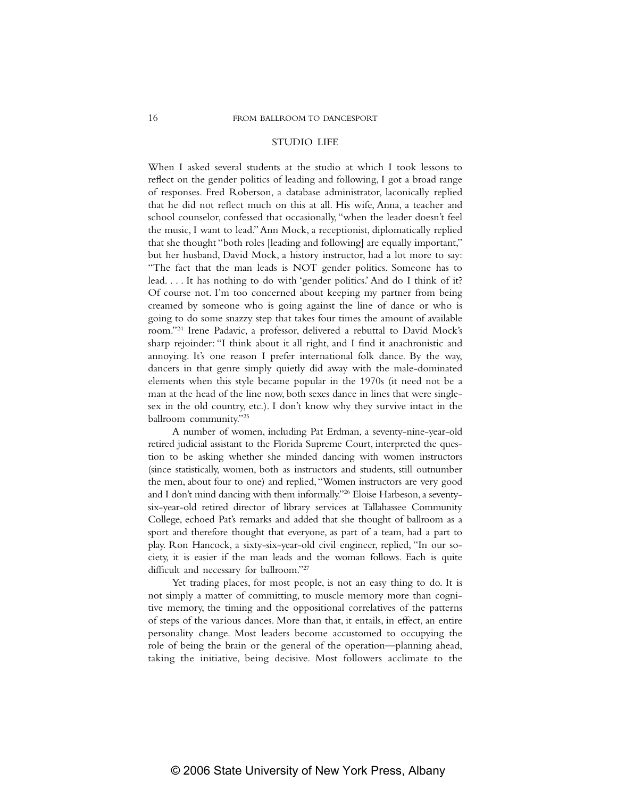### STUDIO LIFE

When I asked several students at the studio at which I took lessons to reflect on the gender politics of leading and following, I got a broad range of responses. Fred Roberson, a database administrator, laconically replied that he did not reflect much on this at all. His wife, Anna, a teacher and school counselor, confessed that occasionally, "when the leader doesn't feel the music, I want to lead." Ann Mock, a receptionist, diplomatically replied that she thought "both roles [leading and following] are equally important," but her husband, David Mock, a history instructor, had a lot more to say: "The fact that the man leads is NOT gender politics. Someone has to lead. . . . It has nothing to do with 'gender politics.' And do I think of it? Of course not. I'm too concerned about keeping my partner from being creamed by someone who is going against the line of dance or who is going to do some snazzy step that takes four times the amount of available room."24 Irene Padavic, a professor, delivered a rebuttal to David Mock's sharp rejoinder: "I think about it all right, and I find it anachronistic and annoying. It's one reason I prefer international folk dance. By the way, dancers in that genre simply quietly did away with the male-dominated elements when this style became popular in the 1970s (it need not be a man at the head of the line now, both sexes dance in lines that were singlesex in the old country, etc.). I don't know why they survive intact in the ballroom community."25

A number of women, including Pat Erdman, a seventy-nine-year-old retired judicial assistant to the Florida Supreme Court, interpreted the question to be asking whether she minded dancing with women instructors (since statistically, women, both as instructors and students, still outnumber the men, about four to one) and replied, "Women instructors are very good and I don't mind dancing with them informally."<sup>26</sup> Eloise Harbeson, a seventysix-year-old retired director of library services at Tallahassee Community College, echoed Pat's remarks and added that she thought of ballroom as a sport and therefore thought that everyone, as part of a team, had a part to play. Ron Hancock, a sixty-six-year-old civil engineer, replied, "In our society, it is easier if the man leads and the woman follows. Each is quite difficult and necessary for ballroom."27

Yet trading places, for most people, is not an easy thing to do. It is not simply a matter of committing, to muscle memory more than cognitive memory, the timing and the oppositional correlatives of the patterns of steps of the various dances. More than that, it entails, in effect, an entire personality change. Most leaders become accustomed to occupying the role of being the brain or the general of the operation—planning ahead, taking the initiative, being decisive. Most followers acclimate to the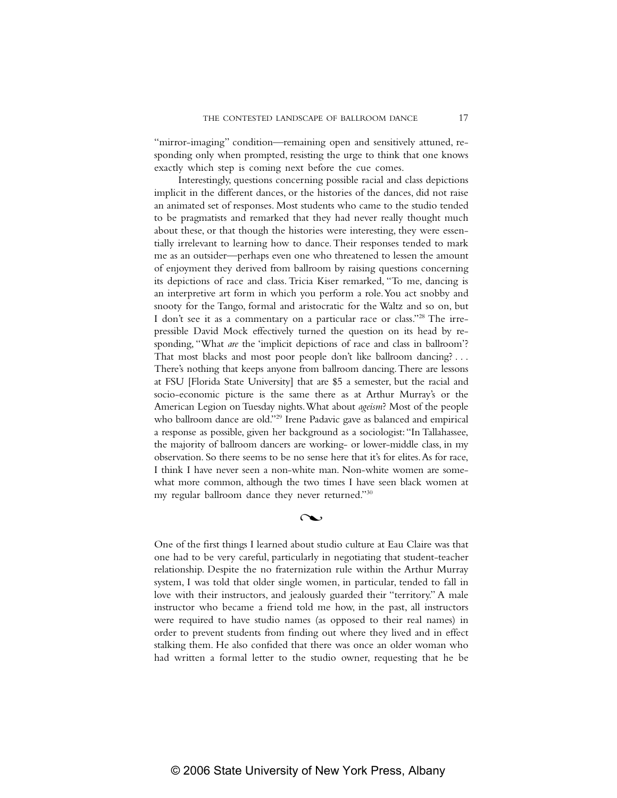"mirror-imaging" condition—remaining open and sensitively attuned, responding only when prompted, resisting the urge to think that one knows exactly which step is coming next before the cue comes.

Interestingly, questions concerning possible racial and class depictions implicit in the different dances, or the histories of the dances, did not raise an animated set of responses. Most students who came to the studio tended to be pragmatists and remarked that they had never really thought much about these, or that though the histories were interesting, they were essentially irrelevant to learning how to dance. Their responses tended to mark me as an outsider—perhaps even one who threatened to lessen the amount of enjoyment they derived from ballroom by raising questions concerning its depictions of race and class. Tricia Kiser remarked, "To me, dancing is an interpretive art form in which you perform a role. You act snobby and snooty for the Tango, formal and aristocratic for the Waltz and so on, but I don't see it as a commentary on a particular race or class."<sup>28</sup> The irrepressible David Mock effectively turned the question on its head by responding, "What *are* the 'implicit depictions of race and class in ballroom'? That most blacks and most poor people don't like ballroom dancing? . . . There's nothing that keeps anyone from ballroom dancing. There are lessons at FSU [Florida State University] that are \$5 a semester, but the racial and socio-economic picture is the same there as at Arthur Murray's or the American Legion on Tuesday nights. What about *ageism*? Most of the people who ballroom dance are old."<sup>29</sup> Irene Padavic gave as balanced and empirical a response as possible, given her background as a sociologist: "In Tallahassee, the majority of ballroom dancers are working- or lower-middle class, in my observation. So there seems to be no sense here that it's for elites. As for race, I think I have never seen a non-white man. Non-white women are somewhat more common, although the two times I have seen black women at my regular ballroom dance they never returned."30

One of the first things I learned about studio culture at Eau Claire was that one had to be very careful, particularly in negotiating that student-teacher relationship. Despite the no fraternization rule within the Arthur Murray system, I was told that older single women, in particular, tended to fall in love with their instructors, and jealously guarded their "territory." A male instructor who became a friend told me how, in the past, all instructors were required to have studio names (as opposed to their real names) in order to prevent students from finding out where they lived and in effect stalking them. He also confided that there was once an older woman who had written a formal letter to the studio owner, requesting that he be

 $\infty$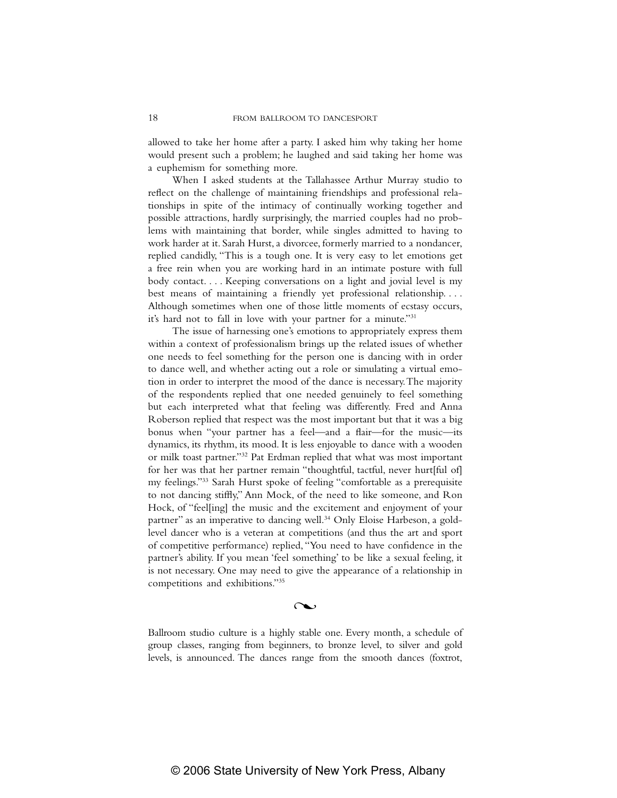allowed to take her home after a party. I asked him why taking her home would present such a problem; he laughed and said taking her home was a euphemism for something more.

When I asked students at the Tallahassee Arthur Murray studio to reflect on the challenge of maintaining friendships and professional relationships in spite of the intimacy of continually working together and possible attractions, hardly surprisingly, the married couples had no problems with maintaining that border, while singles admitted to having to work harder at it. Sarah Hurst, a divorcee, formerly married to a nondancer, replied candidly, "This is a tough one. It is very easy to let emotions get a free rein when you are working hard in an intimate posture with full body contact. . . . Keeping conversations on a light and jovial level is my best means of maintaining a friendly yet professional relationship.... Although sometimes when one of those little moments of ecstasy occurs, it's hard not to fall in love with your partner for a minute."31

The issue of harnessing one's emotions to appropriately express them within a context of professionalism brings up the related issues of whether one needs to feel something for the person one is dancing with in order to dance well, and whether acting out a role or simulating a virtual emotion in order to interpret the mood of the dance is necessary. The majority of the respondents replied that one needed genuinely to feel something but each interpreted what that feeling was differently. Fred and Anna Roberson replied that respect was the most important but that it was a big bonus when "your partner has a feel—and a flair—for the music—its dynamics, its rhythm, its mood. It is less enjoyable to dance with a wooden or milk toast partner."32 Pat Erdman replied that what was most important for her was that her partner remain "thoughtful, tactful, never hurt[ful of] my feelings."33 Sarah Hurst spoke of feeling "comfortable as a prerequisite to not dancing stiffly," Ann Mock, of the need to like someone, and Ron Hock, of "feel[ing] the music and the excitement and enjoyment of your partner" as an imperative to dancing well.<sup>34</sup> Only Eloise Harbeson, a goldlevel dancer who is a veteran at competitions (and thus the art and sport of competitive performance) replied, "You need to have confidence in the partner's ability. If you mean 'feel something' to be like a sexual feeling, it is not necessary. One may need to give the appearance of a relationship in competitions and exhibitions."35

#### $\infty$

Ballroom studio culture is a highly stable one. Every month, a schedule of group classes, ranging from beginners, to bronze level, to silver and gold levels, is announced. The dances range from the smooth dances (foxtrot,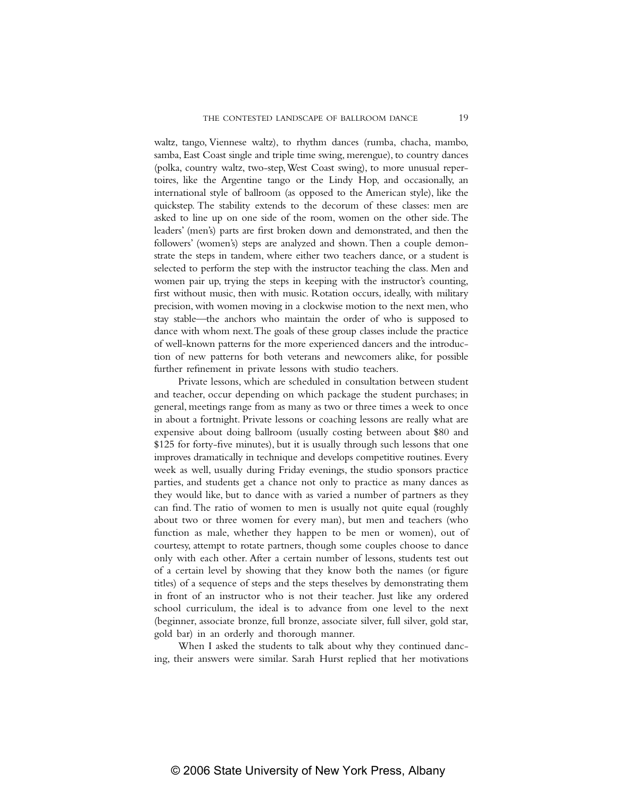waltz, tango, Viennese waltz), to rhythm dances (rumba, chacha, mambo, samba, East Coast single and triple time swing, merengue), to country dances (polka, country waltz, two-step, West Coast swing), to more unusual repertoires, like the Argentine tango or the Lindy Hop, and occasionally, an international style of ballroom (as opposed to the American style), like the quickstep. The stability extends to the decorum of these classes: men are asked to line up on one side of the room, women on the other side. The leaders' (men's) parts are first broken down and demonstrated, and then the followers' (women's) steps are analyzed and shown. Then a couple demonstrate the steps in tandem, where either two teachers dance, or a student is selected to perform the step with the instructor teaching the class. Men and women pair up, trying the steps in keeping with the instructor's counting, first without music, then with music. Rotation occurs, ideally, with military precision, with women moving in a clockwise motion to the next men, who stay stable—the anchors who maintain the order of who is supposed to dance with whom next. The goals of these group classes include the practice of well-known patterns for the more experienced dancers and the introduction of new patterns for both veterans and newcomers alike, for possible further refinement in private lessons with studio teachers.

Private lessons, which are scheduled in consultation between student and teacher, occur depending on which package the student purchases; in general, meetings range from as many as two or three times a week to once in about a fortnight. Private lessons or coaching lessons are really what are expensive about doing ballroom (usually costing between about \$80 and \$125 for forty-five minutes), but it is usually through such lessons that one improves dramatically in technique and develops competitive routines. Every week as well, usually during Friday evenings, the studio sponsors practice parties, and students get a chance not only to practice as many dances as they would like, but to dance with as varied a number of partners as they can find. The ratio of women to men is usually not quite equal (roughly about two or three women for every man), but men and teachers (who function as male, whether they happen to be men or women), out of courtesy, attempt to rotate partners, though some couples choose to dance only with each other. After a certain number of lessons, students test out of a certain level by showing that they know both the names (or figure titles) of a sequence of steps and the steps theselves by demonstrating them in front of an instructor who is not their teacher. Just like any ordered school curriculum, the ideal is to advance from one level to the next (beginner, associate bronze, full bronze, associate silver, full silver, gold star, gold bar) in an orderly and thorough manner.

When I asked the students to talk about why they continued dancing, their answers were similar. Sarah Hurst replied that her motivations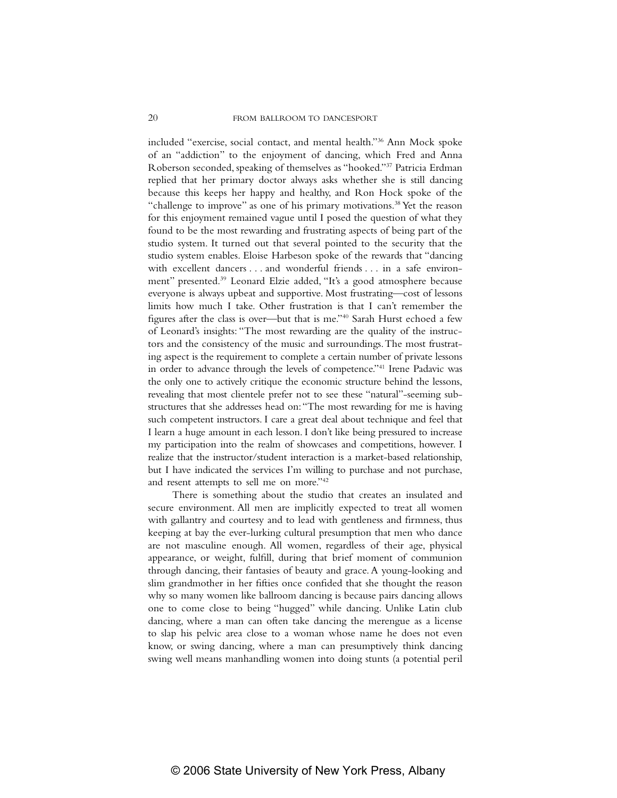included "exercise, social contact, and mental health."36 Ann Mock spoke of an "addiction" to the enjoyment of dancing, which Fred and Anna Roberson seconded, speaking of themselves as "hooked."37 Patricia Erdman replied that her primary doctor always asks whether she is still dancing because this keeps her happy and healthy, and Ron Hock spoke of the "challenge to improve" as one of his primary motivations.<sup>38</sup> Yet the reason for this enjoyment remained vague until I posed the question of what they found to be the most rewarding and frustrating aspects of being part of the studio system. It turned out that several pointed to the security that the studio system enables. Eloise Harbeson spoke of the rewards that "dancing with excellent dancers . . . and wonderful friends . . . in a safe environment" presented.39 Leonard Elzie added, "It's a good atmosphere because everyone is always upbeat and supportive. Most frustrating—cost of lessons limits how much I take. Other frustration is that I can't remember the figures after the class is over—but that is me."40 Sarah Hurst echoed a few of Leonard's insights: "The most rewarding are the quality of the instructors and the consistency of the music and surroundings. The most frustrating aspect is the requirement to complete a certain number of private lessons in order to advance through the levels of competence."41 Irene Padavic was the only one to actively critique the economic structure behind the lessons, revealing that most clientele prefer not to see these "natural"-seeming substructures that she addresses head on: "The most rewarding for me is having such competent instructors. I care a great deal about technique and feel that I learn a huge amount in each lesson. I don't like being pressured to increase my participation into the realm of showcases and competitions, however. I realize that the instructor/student interaction is a market-based relationship, but I have indicated the services I'm willing to purchase and not purchase, and resent attempts to sell me on more."<sup>42</sup>

There is something about the studio that creates an insulated and secure environment. All men are implicitly expected to treat all women with gallantry and courtesy and to lead with gentleness and firmness, thus keeping at bay the ever-lurking cultural presumption that men who dance are not masculine enough. All women, regardless of their age, physical appearance, or weight, fulfill, during that brief moment of communion through dancing, their fantasies of beauty and grace. A young-looking and slim grandmother in her fifties once confided that she thought the reason why so many women like ballroom dancing is because pairs dancing allows one to come close to being "hugged" while dancing. Unlike Latin club dancing, where a man can often take dancing the merengue as a license to slap his pelvic area close to a woman whose name he does not even know, or swing dancing, where a man can presumptively think dancing swing well means manhandling women into doing stunts (a potential peril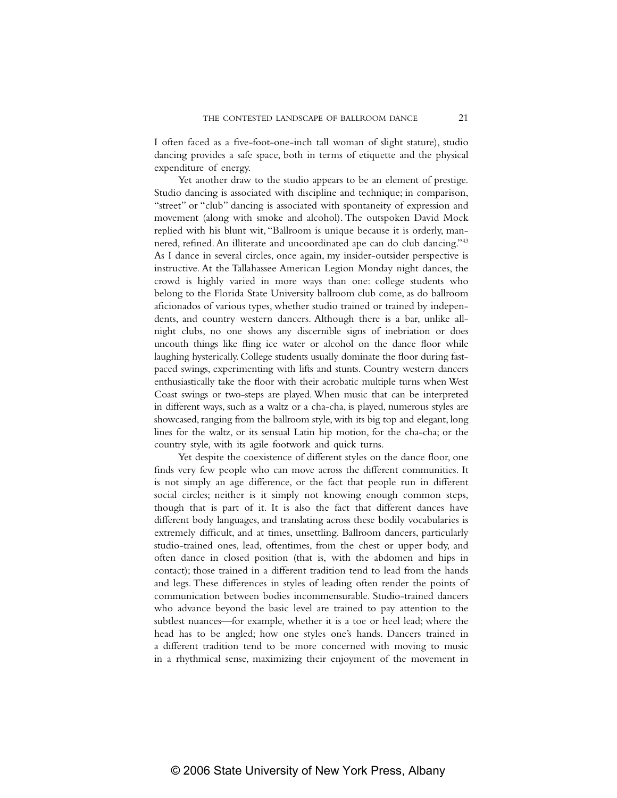I often faced as a five-foot-one-inch tall woman of slight stature), studio dancing provides a safe space, both in terms of etiquette and the physical expenditure of energy.

Yet another draw to the studio appears to be an element of prestige. Studio dancing is associated with discipline and technique; in comparison, "street" or "club" dancing is associated with spontaneity of expression and movement (along with smoke and alcohol). The outspoken David Mock replied with his blunt wit, "Ballroom is unique because it is orderly, mannered, refined. An illiterate and uncoordinated ape can do club dancing."43 As I dance in several circles, once again, my insider-outsider perspective is instructive. At the Tallahassee American Legion Monday night dances, the crowd is highly varied in more ways than one: college students who belong to the Florida State University ballroom club come, as do ballroom aficionados of various types, whether studio trained or trained by independents, and country western dancers. Although there is a bar, unlike allnight clubs, no one shows any discernible signs of inebriation or does uncouth things like fling ice water or alcohol on the dance floor while laughing hysterically. College students usually dominate the floor during fastpaced swings, experimenting with lifts and stunts. Country western dancers enthusiastically take the floor with their acrobatic multiple turns when West Coast swings or two-steps are played. When music that can be interpreted in different ways, such as a waltz or a cha-cha, is played, numerous styles are showcased, ranging from the ballroom style, with its big top and elegant, long lines for the waltz, or its sensual Latin hip motion, for the cha-cha; or the country style, with its agile footwork and quick turns.

Yet despite the coexistence of different styles on the dance floor, one finds very few people who can move across the different communities. It is not simply an age difference, or the fact that people run in different social circles; neither is it simply not knowing enough common steps, though that is part of it. It is also the fact that different dances have different body languages, and translating across these bodily vocabularies is extremely difficult, and at times, unsettling. Ballroom dancers, particularly studio-trained ones, lead, oftentimes, from the chest or upper body, and often dance in closed position (that is, with the abdomen and hips in contact); those trained in a different tradition tend to lead from the hands and legs. These differences in styles of leading often render the points of communication between bodies incommensurable. Studio-trained dancers who advance beyond the basic level are trained to pay attention to the subtlest nuances—for example, whether it is a toe or heel lead; where the head has to be angled; how one styles one's hands. Dancers trained in a different tradition tend to be more concerned with moving to music in a rhythmical sense, maximizing their enjoyment of the movement in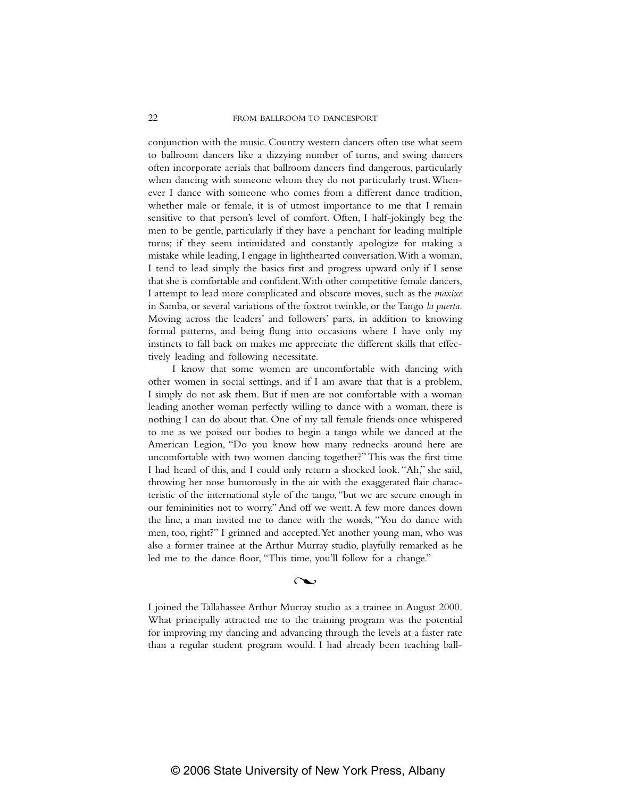conjunction with the music. Country western dancers often use what seem to ballroom dancers like a dizzying number of turns, and swing dancers often incorporate aerials that ballroom dancers find dangerous, particularly when dancing with someone whom they do not particularly trust. Whenever I dance with someone who comes from a different dance tradition, whether male or female, it is of utmost importance to me that I remain sensitive to that person's level of comfort. Often, I half-jokingly beg the men to be gentle, particularly if they have a penchant for leading multiple turns; if they seem intimidated and constantly apologize for making a mistake while leading, I engage in lighthearted conversation. With a woman, I tend to lead simply the basics first and progress upward only if I sense that she is comfortable and confident. With other competitive female dancers, I attempt to lead more complicated and obscure moves, such as the *maxixe* in Samba, or several variations of the foxtrot twinkle, or the Tango *la puerta*. Moving across the leaders' and followers' parts, in addition to knowing formal patterns, and being flung into occasions where I have only my instincts to fall back on makes me appreciate the different skills that effectively leading and following necessitate.

I know that some women are uncomfortable with dancing with other women in social settings, and if I am aware that that is a problem, I simply do not ask them. But if men are not comfortable with a woman leading another woman perfectly willing to dance with a woman, there is nothing I can do about that. One of my tall female friends once whispered to me as we poised our bodies to begin a tango while we danced at the American Legion, "Do you know how many rednecks around here are uncomfortable with two women dancing together?" This was the first time I had heard of this, and I could only return a shocked look. "Ah," she said, throwing her nose humorously in the air with the exaggerated flair characteristic of the international style of the tango, "but we are secure enough in our femininities not to worry." And off we went. A few more dances down the line, a man invited me to dance with the words, "You do dance with men, too, right?" I grinned and accepted. Yet another young man, who was also a former trainee at the Arthur Murray studio, playfully remarked as he led me to the dance floor, "This time, you'll follow for a change."

#### $\infty$

I joined the Tallahassee Arthur Murray studio as a trainee in August 2000. What principally attracted me to the training program was the potential for improving my dancing and advancing through the levels at a faster rate than a regular student program would. I had already been teaching ball-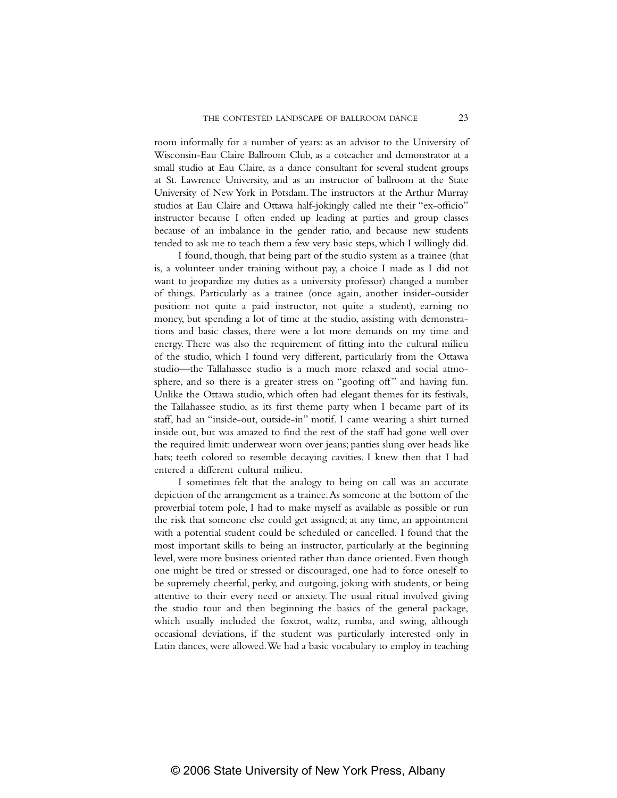room informally for a number of years: as an advisor to the University of Wisconsin-Eau Claire Ballroom Club, as a coteacher and demonstrator at a small studio at Eau Claire, as a dance consultant for several student groups at St. Lawrence University, and as an instructor of ballroom at the State University of New York in Potsdam. The instructors at the Arthur Murray studios at Eau Claire and Ottawa half-jokingly called me their "ex-officio" instructor because I often ended up leading at parties and group classes because of an imbalance in the gender ratio, and because new students tended to ask me to teach them a few very basic steps, which I willingly did.

I found, though, that being part of the studio system as a trainee (that is, a volunteer under training without pay, a choice I made as I did not want to jeopardize my duties as a university professor) changed a number of things. Particularly as a trainee (once again, another insider-outsider position: not quite a paid instructor, not quite a student), earning no money, but spending a lot of time at the studio, assisting with demonstrations and basic classes, there were a lot more demands on my time and energy. There was also the requirement of fitting into the cultural milieu of the studio, which I found very different, particularly from the Ottawa studio—the Tallahassee studio is a much more relaxed and social atmosphere, and so there is a greater stress on "goofing off" and having fun. Unlike the Ottawa studio, which often had elegant themes for its festivals, the Tallahassee studio, as its first theme party when I became part of its staff, had an "inside-out, outside-in" motif. I came wearing a shirt turned inside out, but was amazed to find the rest of the staff had gone well over the required limit: underwear worn over jeans; panties slung over heads like hats; teeth colored to resemble decaying cavities. I knew then that I had entered a different cultural milieu.

I sometimes felt that the analogy to being on call was an accurate depiction of the arrangement as a trainee. As someone at the bottom of the proverbial totem pole, I had to make myself as available as possible or run the risk that someone else could get assigned; at any time, an appointment with a potential student could be scheduled or cancelled. I found that the most important skills to being an instructor, particularly at the beginning level, were more business oriented rather than dance oriented. Even though one might be tired or stressed or discouraged, one had to force oneself to be supremely cheerful, perky, and outgoing, joking with students, or being attentive to their every need or anxiety. The usual ritual involved giving the studio tour and then beginning the basics of the general package, which usually included the foxtrot, waltz, rumba, and swing, although occasional deviations, if the student was particularly interested only in Latin dances, were allowed. We had a basic vocabulary to employ in teaching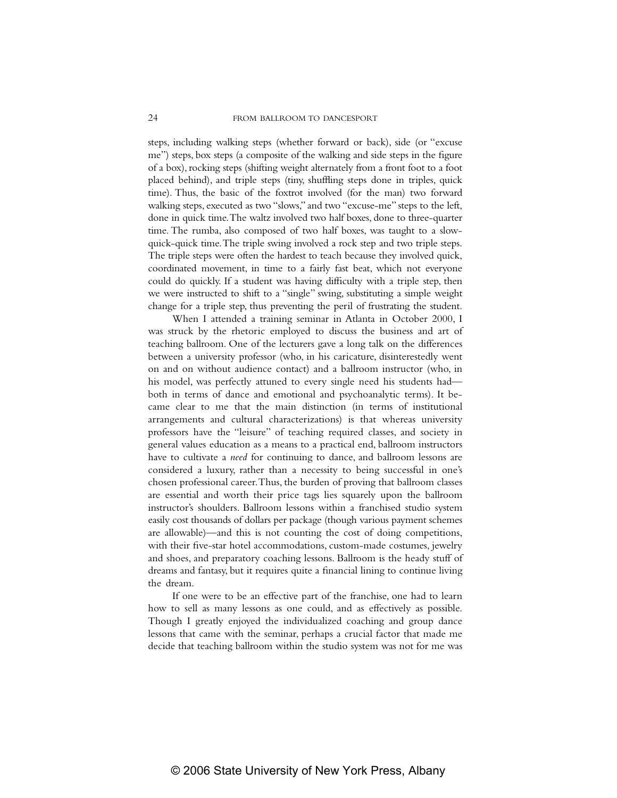steps, including walking steps (whether forward or back), side (or "excuse me") steps, box steps (a composite of the walking and side steps in the figure of a box), rocking steps (shifting weight alternately from a front foot to a foot placed behind), and triple steps (tiny, shuffling steps done in triples, quick time). Thus, the basic of the foxtrot involved (for the man) two forward walking steps, executed as two "slows," and two "excuse-me" steps to the left, done in quick time. The waltz involved two half boxes, done to three-quarter time. The rumba, also composed of two half boxes, was taught to a slowquick-quick time. The triple swing involved a rock step and two triple steps. The triple steps were often the hardest to teach because they involved quick, coordinated movement, in time to a fairly fast beat, which not everyone could do quickly. If a student was having difficulty with a triple step, then we were instructed to shift to a "single" swing, substituting a simple weight change for a triple step, thus preventing the peril of frustrating the student.

When I attended a training seminar in Atlanta in October 2000, I was struck by the rhetoric employed to discuss the business and art of teaching ballroom. One of the lecturers gave a long talk on the differences between a university professor (who, in his caricature, disinterestedly went on and on without audience contact) and a ballroom instructor (who, in his model, was perfectly attuned to every single need his students had both in terms of dance and emotional and psychoanalytic terms). It became clear to me that the main distinction (in terms of institutional arrangements and cultural characterizations) is that whereas university professors have the "leisure" of teaching required classes, and society in general values education as a means to a practical end, ballroom instructors have to cultivate a *need* for continuing to dance, and ballroom lessons are considered a luxury, rather than a necessity to being successful in one's chosen professional career. Thus, the burden of proving that ballroom classes are essential and worth their price tags lies squarely upon the ballroom instructor's shoulders. Ballroom lessons within a franchised studio system easily cost thousands of dollars per package (though various payment schemes are allowable)—and this is not counting the cost of doing competitions, with their five-star hotel accommodations, custom-made costumes, jewelry and shoes, and preparatory coaching lessons. Ballroom is the heady stuff of dreams and fantasy, but it requires quite a financial lining to continue living the dream.

If one were to be an effective part of the franchise, one had to learn how to sell as many lessons as one could, and as effectively as possible. Though I greatly enjoyed the individualized coaching and group dance lessons that came with the seminar, perhaps a crucial factor that made me decide that teaching ballroom within the studio system was not for me was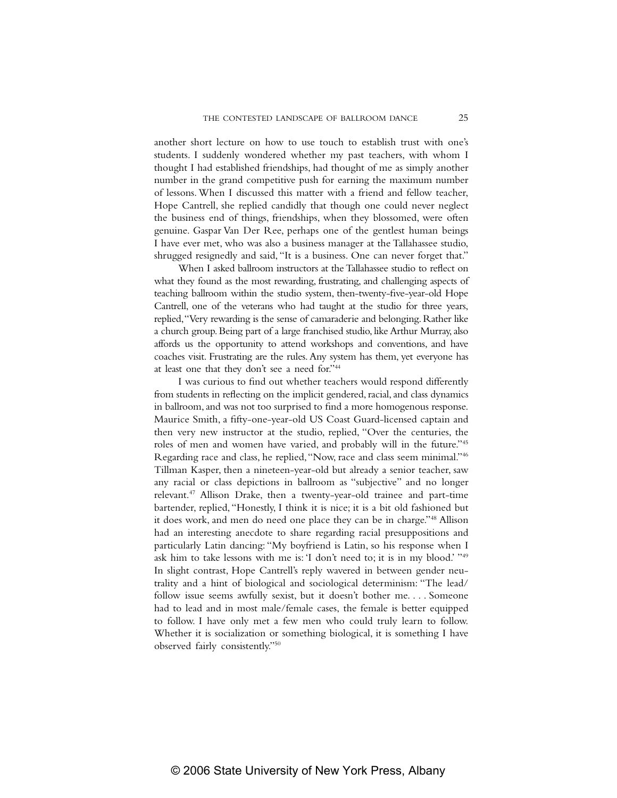another short lecture on how to use touch to establish trust with one's students. I suddenly wondered whether my past teachers, with whom I thought I had established friendships, had thought of me as simply another number in the grand competitive push for earning the maximum number of lessons. When I discussed this matter with a friend and fellow teacher, Hope Cantrell, she replied candidly that though one could never neglect the business end of things, friendships, when they blossomed, were often genuine. Gaspar Van Der Ree, perhaps one of the gentlest human beings I have ever met, who was also a business manager at the Tallahassee studio, shrugged resignedly and said, "It is a business. One can never forget that."

When I asked ballroom instructors at the Tallahassee studio to reflect on what they found as the most rewarding, frustrating, and challenging aspects of teaching ballroom within the studio system, then-twenty-five-year-old Hope Cantrell, one of the veterans who had taught at the studio for three years, replied, "Very rewarding is the sense of camaraderie and belonging. Rather like a church group. Being part of a large franchised studio, like Arthur Murray, also affords us the opportunity to attend workshops and conventions, and have coaches visit. Frustrating are the rules. Any system has them, yet everyone has at least one that they don't see a need for."44

I was curious to find out whether teachers would respond differently from students in reflecting on the implicit gendered, racial, and class dynamics in ballroom, and was not too surprised to find a more homogenous response. Maurice Smith, a fifty-one-year-old US Coast Guard-licensed captain and then very new instructor at the studio, replied, "Over the centuries, the roles of men and women have varied, and probably will in the future."45 Regarding race and class, he replied, "Now, race and class seem minimal."46 Tillman Kasper, then a nineteen-year-old but already a senior teacher, saw any racial or class depictions in ballroom as "subjective" and no longer relevant.<sup>47</sup> Allison Drake, then a twenty-year-old trainee and part-time bartender, replied, "Honestly, I think it is nice; it is a bit old fashioned but it does work, and men do need one place they can be in charge."<sup>48</sup> Allison had an interesting anecdote to share regarding racial presuppositions and particularly Latin dancing: "My boyfriend is Latin, so his response when I ask him to take lessons with me is: 'I don't need to; it is in my blood.' "49 In slight contrast, Hope Cantrell's reply wavered in between gender neutrality and a hint of biological and sociological determinism: "The lead/ follow issue seems awfully sexist, but it doesn't bother me. . . . Someone had to lead and in most male/female cases, the female is better equipped to follow. I have only met a few men who could truly learn to follow. Whether it is socialization or something biological, it is something I have observed fairly consistently."50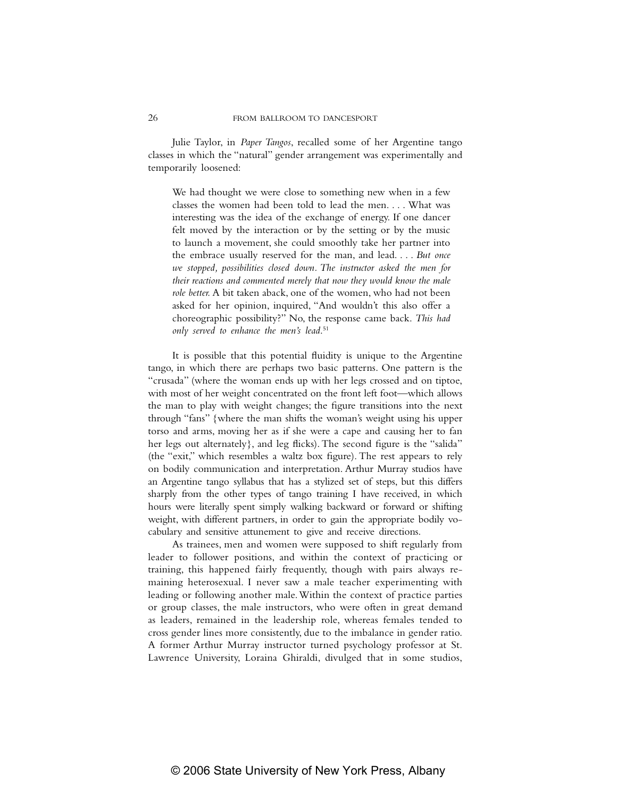Julie Taylor, in *Paper Tangos*, recalled some of her Argentine tango classes in which the "natural" gender arrangement was experimentally and temporarily loosened:

We had thought we were close to something new when in a few classes the women had been told to lead the men. . . . What was interesting was the idea of the exchange of energy. If one dancer felt moved by the interaction or by the setting or by the music to launch a movement, she could smoothly take her partner into the embrace usually reserved for the man, and lead. . . . *But once we stopped, possibilities closed down. The instructor asked the men for their reactions and commented merely that now they would know the male role better.* A bit taken aback, one of the women, who had not been asked for her opinion, inquired, "And wouldn't this also offer a choreographic possibility?" No, the response came back. *This had only served to enhance the men's lead*. 51

It is possible that this potential fluidity is unique to the Argentine tango, in which there are perhaps two basic patterns. One pattern is the "crusada" (where the woman ends up with her legs crossed and on tiptoe, with most of her weight concentrated on the front left foot—which allows the man to play with weight changes; the figure transitions into the next through "fans" {where the man shifts the woman's weight using his upper torso and arms, moving her as if she were a cape and causing her to fan her legs out alternately}, and leg flicks). The second figure is the "salida" (the "exit," which resembles a waltz box figure). The rest appears to rely on bodily communication and interpretation. Arthur Murray studios have an Argentine tango syllabus that has a stylized set of steps, but this differs sharply from the other types of tango training I have received, in which hours were literally spent simply walking backward or forward or shifting weight, with different partners, in order to gain the appropriate bodily vocabulary and sensitive attunement to give and receive directions.

As trainees, men and women were supposed to shift regularly from leader to follower positions, and within the context of practicing or training, this happened fairly frequently, though with pairs always remaining heterosexual. I never saw a male teacher experimenting with leading or following another male. Within the context of practice parties or group classes, the male instructors, who were often in great demand as leaders, remained in the leadership role, whereas females tended to cross gender lines more consistently, due to the imbalance in gender ratio. A former Arthur Murray instructor turned psychology professor at St. Lawrence University, Loraina Ghiraldi, divulged that in some studios,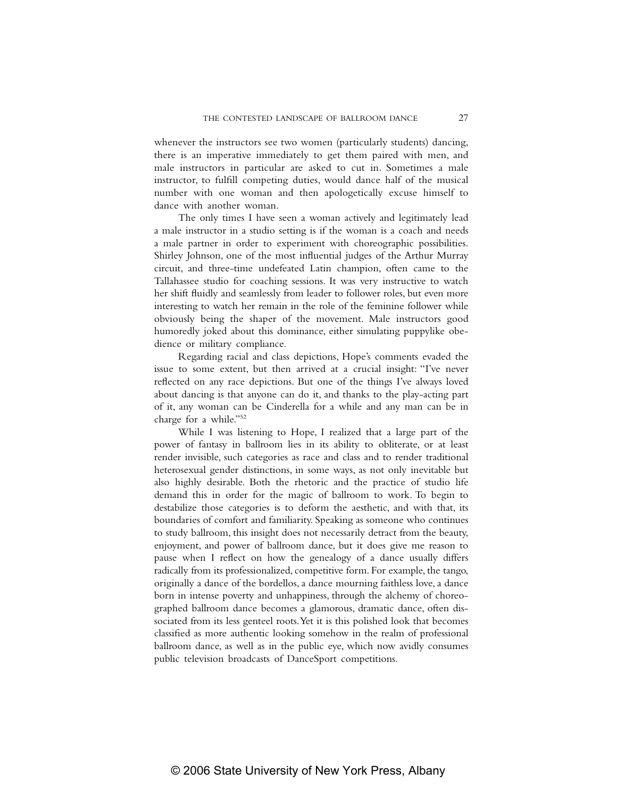whenever the instructors see two women (particularly students) dancing, there is an imperative immediately to get them paired with men, and male instructors in particular are asked to cut in. Sometimes a male instructor, to fulfill competing duties, would dance half of the musical number with one woman and then apologetically excuse himself to dance with another woman.

The only times I have seen a woman actively and legitimately lead a male instructor in a studio setting is if the woman is a coach and needs a male partner in order to experiment with choreographic possibilities. Shirley Johnson, one of the most influential judges of the Arthur Murray circuit, and three-time undefeated Latin champion, often came to the Tallahassee studio for coaching sessions. It was very instructive to watch her shift fluidly and seamlessly from leader to follower roles, but even more interesting to watch her remain in the role of the feminine follower while obviously being the shaper of the movement. Male instructors good humoredly joked about this dominance, either simulating puppylike obedience or military compliance.

Regarding racial and class depictions, Hope's comments evaded the issue to some extent, but then arrived at a crucial insight: "I've never reflected on any race depictions. But one of the things I've always loved about dancing is that anyone can do it, and thanks to the play-acting part of it, any woman can be Cinderella for a while and any man can be in charge for a while."52

While I was listening to Hope, I realized that a large part of the power of fantasy in ballroom lies in its ability to obliterate, or at least render invisible, such categories as race and class and to render traditional heterosexual gender distinctions, in some ways, as not only inevitable but also highly desirable. Both the rhetoric and the practice of studio life demand this in order for the magic of ballroom to work. To begin to destabilize those categories is to deform the aesthetic, and with that, its boundaries of comfort and familiarity. Speaking as someone who continues to study ballroom, this insight does not necessarily detract from the beauty, enjoyment, and power of ballroom dance, but it does give me reason to pause when I reflect on how the genealogy of a dance usually differs radically from its professionalized, competitive form. For example, the tango, originally a dance of the bordellos, a dance mourning faithless love, a dance born in intense poverty and unhappiness, through the alchemy of choreographed ballroom dance becomes a glamorous, dramatic dance, often dissociated from its less genteel roots. Yet it is this polished look that becomes classified as more authentic looking somehow in the realm of professional ballroom dance, as well as in the public eye, which now avidly consumes public television broadcasts of DanceSport competitions.